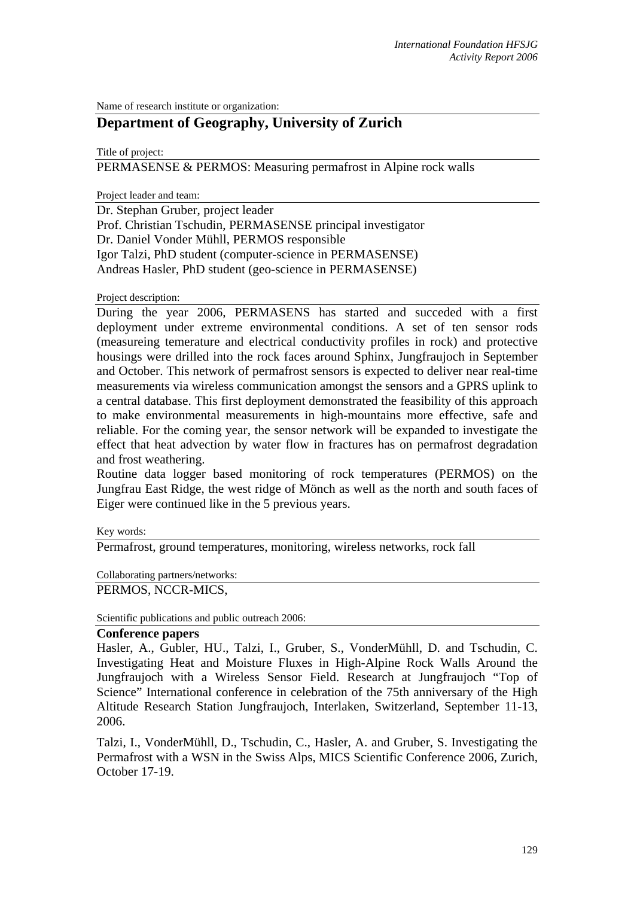Name of research institute or organization:

## **Department of Geography, University of Zurich**

Title of project:

PERMASENSE & PERMOS: Measuring permafrost in Alpine rock walls

Project leader and team:

Dr. Stephan Gruber, project leader Prof. Christian Tschudin, PERMASENSE principal investigator Dr. Daniel Vonder Mühll, PERMOS responsible Igor Talzi, PhD student (computer-science in PERMASENSE) Andreas Hasler, PhD student (geo-science in PERMASENSE)

Project description:

During the year 2006, PERMASENS has started and succeded with a first deployment under extreme environmental conditions. A set of ten sensor rods (measureing temerature and electrical conductivity profiles in rock) and protective housings were drilled into the rock faces around Sphinx, Jungfraujoch in September and October. This network of permafrost sensors is expected to deliver near real-time measurements via wireless communication amongst the sensors and a GPRS uplink to a central database. This first deployment demonstrated the feasibility of this approach to make environmental measurements in high-mountains more effective, safe and reliable. For the coming year, the sensor network will be expanded to investigate the effect that heat advection by water flow in fractures has on permafrost degradation and frost weathering.

Routine data logger based monitoring of rock temperatures (PERMOS) on the Jungfrau East Ridge, the west ridge of Mönch as well as the north and south faces of Eiger were continued like in the 5 previous years.

Key words:

Permafrost, ground temperatures, monitoring, wireless networks, rock fall

Collaborating partners/networks:

PERMOS, NCCR-MICS,

Scientific publications and public outreach 2006:

## **Conference papers**

Hasler, A., Gubler, HU., Talzi, I., Gruber, S., VonderMühll, D. and Tschudin, C. Investigating Heat and Moisture Fluxes in High-Alpine Rock Walls Around the Jungfraujoch with a Wireless Sensor Field. Research at Jungfraujoch "Top of Science" International conference in celebration of the 75th anniversary of the High Altitude Research Station Jungfraujoch, Interlaken, Switzerland, September 11-13, 2006.

Talzi, I., VonderMühll, D., Tschudin, C., Hasler, A. and Gruber, S. Investigating the Permafrost with a WSN in the Swiss Alps, MICS Scientific Conference 2006, Zurich, October 17-19.